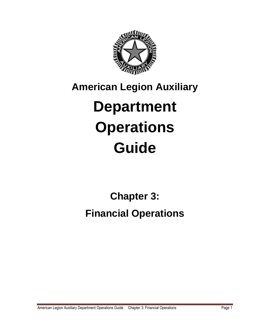

# **American Legion Auxiliary Department Operations Guide**

## **Chapter 3: Financial Operations**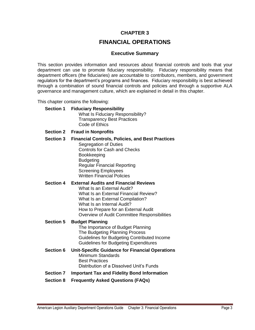#### **[CHAPTER 3](file://///ALAAPP01/share/Dept%20Operations%20Guide%202011-2012/DOG/Dept%20Operations%20Guide/01%20Table%20of%20Contents.docx%23Chapter3)**

#### **FINANCIAL OPERATIONS**

#### **Executive Summary**

This section provides information and resources about financial controls and tools that your department can use to promote fiduciary responsibility. Fiduciary responsibility means that department officers (the fiduciaries) are accountable to contributors, members, and government regulators for the department's programs and finances. Fiduciary responsibility is best achieved through a combination of sound financial controls and policies and through a supportive ALA governance and management culture, which are explained in detail in this chapter.

This chapter contains the following:

- **Section 1 Fiduciary Responsibility** What Is Fiduciary Responsibility? Transparency Best Practices Code of Ethics
- **Section 2 Fraud in Nonprofits**
- **Section 3 Financial Controls, Policies, and Best Practices** Segregation of Duties Controls for Cash and Checks Bookkeeping Budgeting Regular Financial Reporting Screening Employees Written Financial Policies

#### **Section 4 External Audits and Financial Reviews** What Is an External Audit? What Is an External Financial Review? What Is an External Compilation? What Is an Internal Audit? How to Prepare for an External Audit Overview of Audit Committee Responsibilities

#### **Section 5 Budget Planning**

The Importance of Budget Planning The Budgeting Planning Process Guidelines for Budgeting Contributed Income Guidelines for Budgeting Expenditures

**Section 6 Unit-Specific Guidance for Financial Operations** Minimum Standards Best Practices Distribution of a Dissolved Unit's Funds

#### **Section 7 Important Tax and Fidelity Bond Information**

**Section 8 Frequently Asked Questions (FAQs)**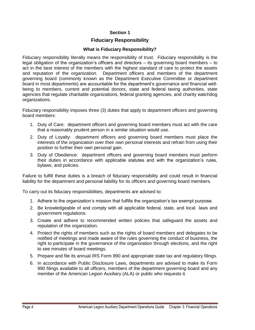#### **Section 1**

#### **Fiduciary Responsibility**

#### **What is Fiduciary Responsibility?**

Fiduciary responsibility literally means the responsibility of trust. Fiduciary responsibility is the legal obligation of the organization's officers and directors – its governing board members – to act in the best interest of the members with the highest standard of care to protect the assets and reputation of the organization. Department officers and members of the department governing board (commonly known as the Department Executive Committee or department board in most departments) are accountable for the department's governance and financial wellbeing to members, current and potential donors, state and federal taxing authorities, state agencies that regulate charitable organizations, federal granting agencies, and charity watchdog organizations.

Fiduciary responsibility imposes three (3) duties that apply to department officers and governing board members:

- 1. Duty of Care: department officers and governing board members must act with the care that a reasonably prudent person in a similar situation would use.
- 2. Duty of Loyalty: department officers and governing board members must place the interests of the organization over their own personal interests and refrain from using their position to further their own personal gain.
- 3. Duty of Obedience: department officers and governing board members must perform their duties in accordance with applicable statutes and with the organization's rules, bylaws, and policies.

Failure to fulfill these duties is a breach of fiduciary responsibility and could result in financial liability for the department and personal liability for its officers and governing board members.

To carry out its fiduciary responsibilities, departments are advised to:

- 1. Adhere to the organization's mission that fulfills the organization's tax exempt purpose.
- 2. Be knowledgeable of and comply with all applicable federal, state, and local laws and government regulations.
- 3. Create and adhere to recommended written policies that safeguard the assets and reputation of the organization.
- 4. Protect the rights of members such as the rights of board members and delegates to be notified of meetings and made aware of the rules governing the conduct of business, the right to participate in the governance of the organization through elections, and the right to see minutes of board meetings.
- 5. Prepare and file its annual IRS Form 990 and appropriate state tax and regulatory filings.
- 6. In accordance with Public Disclosure Laws, departments are advised to make its Form 990 filings available to all officers, members of the department governing board and any member of the American Legion Auxiliary (ALA) or public who requests it.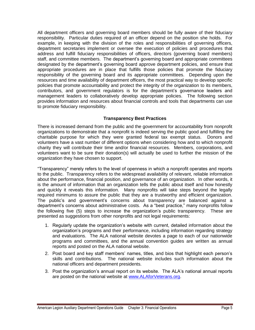All department officers and governing board members should be fully aware of their fiduciary responsibility. Particular duties required of an officer depend on the position she holds. For example, in keeping with the division of the roles and responsibilities of governing officers, department secretaries implement or oversee the execution of policies and procedures that address and fulfill fiduciary responsibilities of officers, directors (governing board members) staff, and committee members. The department's governing board and appropriate committees designated by the department's governing board approve department policies, and ensure that appropriate procedures are in place that fulfills those policies that promote the fiduciary responsibility of the governing board and its appropriate committees. Depending upon the resources and time availability of department officers, the most practical way to develop specific policies that promote accountability and protect the integrity of the organization to its members, contributors, and government regulators is for the department's governance leaders and management leaders to collaboratively develop appropriate policies. The following section provides information and resources about financial controls and tools that departments can use to promote fiduciary responsibility.

#### **Transparency Best Practices**

There is increased demand from the public and the government for accountability from nonprofit organizations to demonstrate that a nonprofit is indeed serving the public good and fulfilling the charitable purpose for which they were granted federal tax exempt status. Donors and volunteers have a vast number of different options when considering how and to which nonprofit charity they will contribute their time and/or financial resources. Members, corporations, and volunteers want to be sure their donation(s) will actually be used to further the mission of the organization they have chosen to support.

"Transparency" merely refers to the level of openness in which a nonprofit operates and reports to the public. Transparency refers to the widespread availability of relevant, reliable information about the performance, financial position, and governance of an organization. In other words, it is the amount of information that an organization tells the public about itself and how honestly and quickly it reveals this information. Many nonprofits will take steps beyond the legally required minimums to assure the public that they are a trustworthy and efficient organization. The public's and government's concerns about transparency are balanced against a department's concerns about administrative costs. As a "best practice," many nonprofits follow the following five (5) steps to increase the organization's public transparency. These are presented as suggestions from other nonprofits and not legal requirements:

- 1. Regularly update the organization's website with current, detailed information about the organization's programs and their performance, including information regarding strategy and evaluations. The ALA national website devotes a page to each of our nationwide programs and committees, and the annual convention guides are written as annual reports and posted on the ALA national website.
- 2. Post board and key staff members' names, titles, and bios that highlight each person's skills and contributions. The national website includes such information about the national officers and department presidents.
- 3. Post the organization's annual report on its website. The ALA's national annual reports are posted on the national website at [www.ALAforVeterans.org.](http://www.alaforveterans.org/)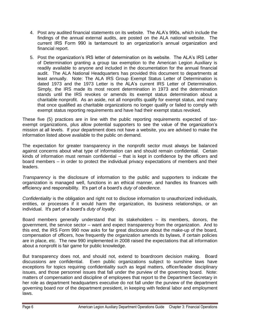- 4. Post any audited financial statements on its website. The ALA's 990s, which include the findings of the annual external audits, are posted on the ALA national website. The current IRS Form 990 is tantamount to an organization's annual organization and financial report.
- 5. Post the organization's IRS letter of determination on its website. The ALA's IRS Letter of Determination granting a group tax exemption to the American Legion Auxiliary is readily available to anyone and included in the documentation for the annual financial audit. The ALA National Headquarters has provided this document to departments at least annually. Note: The ALA IRS Group Exempt Status Letter of Determination is dated 1973 and the 1973 Letter is the ALA's current IRS Letter of Determination. Simply, the IRS made its most recent determination in 1973 and the determination stands until the IRS revokes or amends its exempt status determination about a charitable nonprofit. As an aside, not all nonprofits qualify for exempt status, and many that once qualified as charitable organizations no longer qualify or failed to comply with exempt status reporting requirements and have had their exempt status revoked.

These five (5) practices are in line with the public reporting requirements expected of taxexempt organizations, plus allow potential supporters to see the value of the organization's mission at all levels. If your department does not have a website, you are advised to make the information listed above available to the public on demand.

The expectation for greater transparency in the nonprofit sector must always be balanced against concerns about what type of information can and should remain confidential. Certain kinds of information must remain confidential – that is kept in confidence by the officers and board members – in order to protect the individual privacy expectations of members and their leaders.

*Transparency* is the disclosure of information to the public and supporters to indicate the organization is managed well, functions in an ethical manner, and handles its finances with efficiency and responsibility. It's part of a board's *duty of obedience*.

*Confidentiality* is the obligation and right not to disclose information to unauthorized individuals, entities, or processes if it would harm the organization, its business relationships, or an individual. It's part of a board's *duty of loyalty*.

Board members generally understand that its stakeholders – its members, donors, the government, the service sector – want and expect transparency from the organization. And to this end, the IRS Form 990 now asks for far great disclosure about the make-up of the board, compensation of officers, how frequently the organization amends its bylaws, if certain policies are in place, etc. The new 990 implemented in 2008 raised the expectations that all information about a nonprofit is fair game for public knowledge.

But transparency does not, and should not, extend to boardroom decision making. Board discussions are confidential. Even public organizations subject to sunshine laws have exceptions for topics requiring confidentiality such as legal matters, officer/leader disciplinary issues, and those personnel issues that fall under the purview of the governing board. Note: matters of compensation and discipline of employees that report to the Department Secretary in her role as department headquarters executive do not fall under the purview of the department governing board nor of the department president, in keeping with federal labor and employment laws.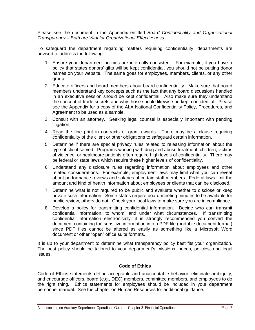Please see the document in the Appendix entitled *Board Confidentiality and Organizational Transparency – Both are Vital for Organizational Effectiveness.*

To safeguard the department regarding matters requiring confidentiality, departments are advised to address the following:

- 1. Ensure your department policies are internally consistent. For example, if you have a policy that states donors' gifts will be kept confidential, you should not be putting donor names on your website. The same goes for employees, members, clients, or any other group.
- 2. Educate officers and board members about board confidentiality. Make sure that board members understand key concepts such as the fact that any board discussions handled in an executive session should be kept confidential. Also make sure they understand the concept of trade secrets and why those should likewise be kept confidential. Please see the Appendix for a copy of the ALA National Confidentiality Policy, Procedures, and Agreement to be used as a sample.
- 3. Consult with an attorney. Seeking legal counsel is especially important with pending litigation.
- 4. Read the fine print in contracts or grant awards. There may be a clause requiring confidentiality of the client or other obligations to safeguard certain information.
- 5. Determine if there are special privacy rules related to releasing information about the type of client served. Programs working with drug and abuse treatment, children, victims of violence, or healthcare patients often require high levels of confidentiality. There may be federal or state laws which require these higher levels of confidentiality.
- 6. Understand any disclosure rules regarding information about employees and other related considerations: For example, employment laws may limit what you can reveal about performance reviews and salaries of certain staff members. Federal laws limit the amount and kind of health information about employees or clients that can be disclosed.
- 7. Determine what is not required to be public and evaluate whether to disclose or keep private such information. Some states require board meeting minutes to be available for public review, others do not. Check your local laws to make sure you are in compliance.
- 8. Develop a policy for transmitting confidential information. Decide who can transmit confidential information, to whom, and under what circumstances. If transmitting confidential information electronically, it is strongly recommended you convert the document containing the sensitive information into a PDF file (portable document format) since PDF files cannot be altered as easily as something like a Microsoft Word document or other "open" office suite formats.

It is up to your department to determine what transparency policy best fits your organization. The best policy should be tailored to your department's missions, needs, policies, and legal issues.

#### **Code of Ethics**

Code of Ethics statements define acceptable and unacceptable behavior, eliminate ambiguity, and encourage officers, board (e.g., DEC) members, committee members, and employees to do the right thing. Ethics statements for employees should be included in your department personnel manual. See the chapter on Human Resources for additional guidance.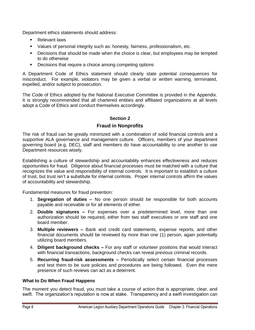Department ethics statements should address:

- **Relevant laws**
- Values of personal integrity such as: honesty, fairness, professionalism, etc.
- **Decisions that should be made when the choice is clear, but employees may be tempted** to do otherwise
- Decisions that require a choice among competing options

A Department Code of Ethics statement should clearly state potential consequences for misconduct. For example, violators may be given a verbal or written warning, terminated, expelled, and/or subject to prosecution.

The Code of Ethics adopted by the National Executive Committee is provided in the Appendix. It is strongly recommended that all chartered entities and affiliated organizations at all levels adopt a Code of Ethics and conduct themselves accordingly.

#### **Section 2**

#### **Fraud in Nonprofits**

The risk of fraud can be greatly minimized with a combination of solid financial controls and a supportive ALA governance and management culture. Officers, members of your department governing board (e.g. DEC), staff and members do have accountability to one another to use Department resources wisely.

Establishing a culture of stewardship and accountability enhances effectiveness and reduces opportunities for fraud. Diligence about financial processes must be matched with a culture that recognizes the value and responsibility of internal controls. It is important to establish a culture of trust, but trust isn't a substitute for internal controls. Proper internal controls affirm the values of accountability and stewardship.

Fundamental measures for fraud prevention:

- 1. **Segregation of duties –** No one person should be responsible for both accounts payable and receivable or for all elements of either.
- 2. **Double signatures –** For expenses over a predetermined level, more than one authorization should be required, either from two staff executives or one staff and one board member.
- 3. **Multiple reviewers –** Bank and credit card statements, expense reports, and other financial documents should be reviewed by more than one (1) person, again potentially utilizing board members.
- 4. **Diligent background checks –** For any staff or volunteer positions that would interact with financial transactions, background checks can reveal previous criminal records.
- 5. **Recurring fraud-risk assessments –** Periodically select certain financial processes and test them to be sure policies and procedures are being followed. Even the mere presence of such reviews can act as a deterrent.

#### **What to Do When Fraud Happens**

The moment you detect fraud, you must take a course of action that is appropriate, clear, and swift. The organization's reputation is now at stake. Transparency and a swift investigation can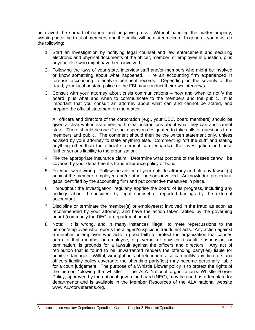help avert the spread of rumors and negative press. Without handling the matter properly, winning back the trust of members and the public will be a steep climb. In general, you must do the following:

- 1. Start an investigation by notifying legal counsel and law enforcement and securing electronic and physical documents of the officer, member, or employee in question, plus anyone else who might have been involved.
- 2. Following the laws of your state, interview staff and/or members who might be involved or know something about what happened. Hire an accounting firm experienced in forensic accounting to analyze pertinent records. Depending on the severity of the fraud, your local or state police or the FBI may conduct their own interviews.
- 3. Consult with your attorney about crisis communications how and when to notify the board, plus what and when to communicate to the members and the public. It is important that you consult an attorney about what can and cannot be stated, and prepare the official statement on the matter.

All officers and directors of the corporation (e.g., your DEC, board members) should be given a clear written statement with clear instructions about what they can and cannot state. There should be one (1) spokesperson designated to take calls or questions from members and public. The comment should then be the written statement only, unless advised by your attorney to state anything else. Commenting "off the cuff" and stating anything other than the official statement can jeopardize the investigation and pose further serious liability to the organization.

- 4. File the appropriate insurance claim. Determine what portions of the losses can/will be covered by your department's fraud insurance policy or bond.
- 5. Fix what went wrong. Follow the advice of your outside attorney and file any lawsuit(s) against the member, employee and/or other persons involved. Acknowledge procedural gaps identified by the accounting firm and put corrective measures in place.
- 6. Throughout the investigation, regularly apprise the board of its progress, including any findings about the incident by legal counsel or reported findings by the external accountant.
- 7. Discipline or terminate the member(s) or employee(s) involved in the fraud as soon as recommended by your attorney, and have the action taken ratified by the governing board (commonly the DEC or department board).
- 8. Note: It is wrong, and in many instances illegal, to mete repercussions to the person/employee who reports the alleged/suspicious fraudulent acts. Any action against a member or employee who acts in good faith to protect the organization that causes harm to that member or employee, e.g. verbal or physical assault, suspension, or termination, is grounds for a lawsuit against the officers and directors. Any act of retribution that is found to be unwarranted renders the offending party(ies) liable for punitive damages. Willful, wrongful acts of retribution, also can nullify any directors and officers liability policy coverage; the offending party(ies) may become personally liable for a court judgement. The purpose of a Whistle Blower policy is to protect the rights of the person "blowing the whistle". The ALA National organization's Whistle Blower Policy, approved by the national governing board (NEC), may be used as a template for departments and is available in the Member Resources of the ALA national website www.ALAforVeterans.org.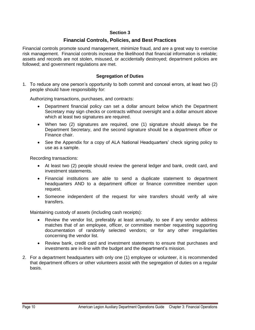#### **Section 3**

#### **Financial Controls, Policies, and Best Practices**

Financial controls promote sound management, minimize fraud, and are a great way to exercise risk management. Financial controls increase the likelihood that financial information is reliable; assets and records are not stolen, misused, or accidentally destroyed; department policies are followed; and government regulations are met.

#### **Segregation of Duties**

1. To reduce any one person's opportunity to both commit and conceal errors, at least two (2) people should have responsibility for:

Authorizing transactions, purchases, and contracts:

- Department financial policy can set a dollar amount below which the Department Secretary may sign checks or contracts without oversight and a dollar amount above which at least two signatures are required.
- When two (2) signatures are required, one (1) signature should always be the Department Secretary, and the second signature should be a department officer or Finance chair.
- See the Appendix for a copy of ALA National Headquarters' check signing policy to use as a sample.

Recording transactions:

- At least two (2) people should review the general ledger and bank, credit card, and investment statements.
- Financial institutions are able to send a duplicate statement to department headquarters AND to a department officer or finance committee member upon request.
- Someone independent of the request for wire transfers should verify all wire transfers.

Maintaining custody of assets (including cash receipts):

- Review the vendor list, preferably at least annually, to see if any vendor address matches that of an employee, officer, or committee member requesting supporting documentation of randomly selected vendors; or for any other irregularities concerning the vendor list.
- Review bank, credit card and investment statements to ensure that purchases and investments are in-line with the budget and the department's mission.
- 2. For a department headquarters with only one (1) employee or volunteer, it is recommended that department officers or other volunteers assist with the segregation of duties on a regular basis.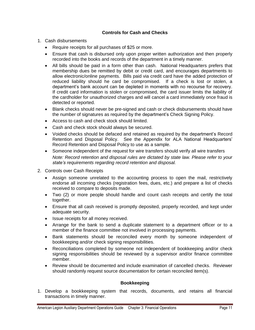#### **Controls for Cash and Checks**

- 1. Cash disbursements
	- Require receipts for all purchases of \$25 or more.
	- Ensure that cash is disbursed only upon proper written authorization and then properly recorded into the books and records of the department in a timely manner.
	- All bills should be paid in a form other than cash. National Headquarters prefers that membership dues be remitted by debit or credit card, and encourages departments to allow electronic/online payments. Bills paid via credit card have the added protection of reduced liability should he card be compromised. If a check is lost or stolen, a department's bank account can be depleted in moments with no recourse for recovery. If credit card information is stolen or compromised, the card issuer limits the liability of the cardholder for unauthorized charges and will cancel a card immediately once fraud is detected or reported.
	- Blank checks should never be pre-signed and cash or check disbursements should have the number of signatures as required by the department's Check Signing Policy.
	- Access to cash and check stock should limited.
	- Cash and check stock should always be secured.
	- Voided checks should be defaced and retained as required by the department's Record Retention and Disposal Policy. See the Appendix for ALA National Headquarters' Record Retention and Disposal Policy to use as a sample.
	- Someone independent of the request for wire transfers should verify all wire transfers *Note: Record retention and disposal rules are dictated by state law. Please refer to your state's requirements regarding record retention and disposal.*
- 2. Controls over Cash Receipts
	- Assign someone unrelated to the accounting process to open the mail, restrictively endorse all incoming checks (registration fees, dues, etc.) and prepare a list of checks received to compare to deposits made.
	- Two (2) or more people should handle and count cash receipts and certify the total together.
	- Ensure that all cash received is promptly deposited, properly recorded, and kept under adequate security.
	- Issue receipts for all money received.
	- Arrange for the bank to send a duplicate statement to a department officer or to a member of the finance committee not involved in processing payments.
	- Bank statements should be reconciled every month by someone independent of bookkeeping and/or check signing responsibilities.
	- Reconciliations completed by someone not independent of bookkeeping and/or check signing responsibilities should be reviewed by a supervisor and/or finance committee member.
	- Review should be documented and include examination of cancelled checks. Reviewer should randomly request source documentation for certain reconciled item(s).

#### **Bookkeeping**

1. Develop a bookkeeping system that records, documents, and retains all financial transactions in timely manner.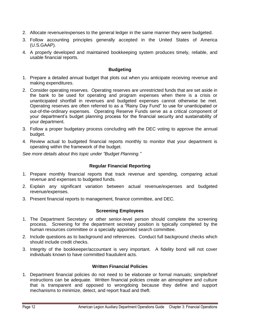- 2. Allocate revenue/expenses to the general ledger in the same manner they were budgeted.
- 3. Follow accounting principles generally accepted in the United States of America (U.S.GAAP).
- 4. A properly developed and maintained bookkeeping system produces timely, reliable, and usable financial reports.

#### **Budgeting**

- 1. Prepare a detailed annual budget that plots out when you anticipate receiving revenue and making expenditures.
- 2. Consider operating reserves. Operating reserves are unrestricted funds that are set aside in the bank to be used for operating and program expenses when there is a crisis or unanticipated shortfall in revenues and budgeted expenses cannot otherwise be met. Operating reserves are often referred to as a "Rainy Day Fund" to use for unanticipated or out-of-the-ordinary expenses. Operating Reserve Funds serve as a critical component of your department's budget planning process for the financial security and sustainability of your department.
- 3. Follow a proper budgetary process concluding with the DEC voting to approve the annual budget.
- 4. Review actual to budgeted financial reports monthly to monitor that your department is operating within the framework of the budget.

*See more details about this topic under "Budget Planning."*

#### **Regular Financial Reporting**

- 1. Prepare monthly financial reports that track revenue and spending, comparing actual revenue and expenses to budgeted funds.
- 2. Explain any significant variation between actual revenue/expenses and budgeted revenue/expenses.
- 3. Present financial reports to management, finance committee, and DEC.

#### **Screening Employees**

- 1. The Department Secretary or other senior-level person should complete the screening process. Screening for the department secretary position is typically completed by the human resources committee or a specially appointed search committee.
- 2. Include questions as to background and references. Conduct full background checks which should include credit checks.
- 3. Integrity of the bookkeeper/accountant is very important. A fidelity bond will not cover individuals known to have committed fraudulent acts.

#### **Written Financial Policies**

1. Department financial policies do not need to be elaborate or formal manuals; simple/brief instructions can be adequate. Written financial policies create an atmosphere and culture that is transparent and opposed to wrongdoing because they define and support mechanisms to minimize, detect, and report fraud and theft.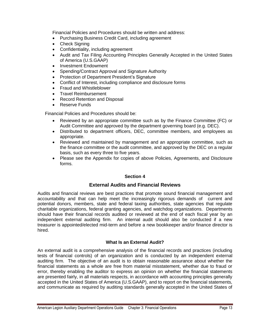Financial Policies and Procedures should be written and address:

- Purchasing Business Credit Card, including agreement
- Check Signing
- Confidentiality, including agreement
- Audit and Tax Filing Accounting Principles Generally Accepted in the United States of America (U.S.GAAP)
- Investment Endowment
- Spending/Contract Approval and Signature Authority
- Protection of Department President's Signature
- Conflict of Interest, including compliance and disclosure forms
- Fraud and Whistleblower
- Travel Reimbursement
- Record Retention and Disposal
- Reserve Funds

Financial Policies and Procedures should be:

- Reviewed by an appropriate committee such as by the Finance Committee (FC) or Audit Committee and approved by the department governing board (e.g. DEC).
- Distributed to department officers, DEC, committee members, and employees as appropriate.
- Reviewed and maintained by management and an appropriate committee, such as the finance committee or the audit committee, and approved by the DEC on a regular basis, such as every three to five years.
- Please see the Appendix for copies of above Policies, Agreements, and Disclosure forms.

#### **Section 4**

#### **External Audits and Financial Reviews**

Audits and financial reviews are best practices that promote sound financial management and accountability and that can help meet the increasingly rigorous demands of current and potential donors, members, state and federal taxing authorities, state agencies that regulate charitable organizations, federal granting agencies, and watchdog organizations. Departments should have their financial records audited or reviewed at the end of each fiscal year by an independent external auditing firm. An internal audit should also be conducted if a new treasurer is appointed/elected mid-term and before a new bookkeeper and/or finance director is hired.

#### **What Is an External Audit?**

An external audit is a comprehensive analysis of the financial records and practices (including tests of financial controls) of an organization and is conducted by an independent external auditing firm. The objective of an audit is to obtain reasonable assurance about whether the financial statements as a whole are free from material misstatement, whether due to fraud or error, thereby enabling the auditor to express an opinion on whether the financial statements are presented fairly, in all materials respects, in accordance with accounting principles generally accepted in the United States of America (U.S.GAAP), and to report on the financial statements, and communicate as required by auditing standards generally accepted in the United States of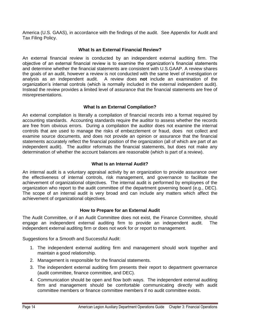America (U.S. GAAS), in accordance with the findings of the audit. See Appendix for Audit and Tax Filing Policy.

#### **What Is an External Financial Review?**

An external financial review is conducted by an independent external auditing firm. The objective of an external financial review is to examine the organization's financial statements and determine whether the financial statements are consistent with U.S.GAAP. A review shares the goals of an audit, however a review is not conducted with the same level of investigation or analysis as an independent audit. A review does **not** include an examination of the organization's internal controls (which is normally included in the external independent audit). Instead the review provides a limited level of assurance that the financial statements are free of misrepresentations.

#### **What Is an External Compilation?**

An external compilation is literally a compilation of financial records into a format required by accounting standards. Accounting standards require the auditor to assess whether the records are free from obvious errors. During a compilation the auditor does not examine the internal controls that are used to manage the risks of embezzlement or fraud, does not collect and examine source documents, and does not provide an opinion or assurance that the financial statements accurately reflect the financial position of the organization (all of which are part of an independent audit). The auditor reformats the financial statements, but does not make any determination of whether the account balances are reasonable (which is part of a review).

#### **What Is an Internal Audit?**

An internal audit is a voluntary appraisal activity by an organization to provide assurance over the effectiveness of internal controls, risk management, and governance to facilitate the achievement of organizational objectives. The internal audit is performed by employees of the organization who report to the audit committee of the department governing board (e.g., DEC). The scope of an internal audit is very broad and can include any matters which affect the achievement of organizational objectives.

#### **How to Prepare for an External Audit**

The Audit Committee, or if an Audit Committee does not exist, the Finance Committee, should engage an independent external auditing firm to provide an independent audit. The independent external auditing firm or does not work for or report to management.

Suggestions for a Smooth and Successful Audit:

- 1. The independent external auditing firm and management should work together and maintain a good relationship.
- 2. Management is responsible for the financial statements.
- 3. The independent external auditing firm presents their report to department governance (audit committee, finance committee, and DEC).
- 4. Communication should be open and flow both ways. The independent external auditing firm and management should be comfortable communicating directly with audit committee members or finance committee members if no audit committee exists.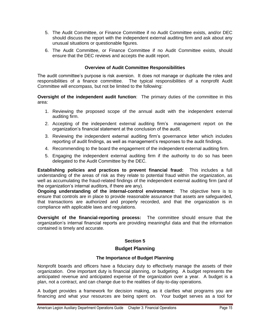- 5. The Audit Committee, or Finance Committee if no Audit Committee exists, and/or DEC should discuss the report with the independent external auditing firm and ask about any unusual situations or questionable figures.
- 6. The Audit Committee, or Finance Committee if no Audit Committee exists, should ensure that the DEC reviews and accepts the audit report.

#### **Overview of Audit Committee Responsibilities**

The audit committee's purpose is risk aversion. It does not manage or duplicate the roles and responsibilities of a finance committee. The typical responsibilities of a nonprofit Audit Committee will encompass, but not be limited to the following:

**Oversight of the independent audit function**: The primary duties of the committee in this area:

- 1. Reviewing the proposed scope of the annual audit with the independent external auditing firm.
- 2. Accepting of the independent external auditing firm's management report on the organization's financial statement at the conclusion of the audit.
- 3. Reviewing the independent external auditing firm's governance letter which includes reporting of audit findings, as well as management's responses to the audit findings.
- 4. Recommending to the board the engagement of the independent external auditing firm.
- 5. Engaging the independent external auditing firm if the authority to do so has been delegated to the Audit Committee by the DEC.

**Establishing policies and practices to prevent financial fraud:** This includes a full understanding of the areas of risk as they relate to potential fraud within the organization, as well as accumulating the fraud-related findings of the independent external auditing firm (and of the organization's internal auditors, if there are any).

**Ongoing understanding of the internal-control environment:** The objective here is to ensure that controls are in place to provide reasonable assurance that assets are safeguarded, that transactions are authorized and properly recorded, and that the organization is in compliance with applicable laws and regulations.

**Oversight of the financial-reporting process:** The committee should ensure that the organization's internal financial reports are providing meaningful data and that the information contained is timely and accurate.

#### **Section 5**

#### **Budget Planning**

#### **The Importance of Budget Planning**

Nonprofit boards and officers have a fiduciary duty to effectively manage the assets of their organization. One important duty is financial planning, or budgeting. A budget represents the anticipated revenue and anticipated expense of the organization over a year. A budget is a plan, not a contract, and can change due to the realities of day-to-day operations.

A budget provides a framework for decision making, as it clarifies what programs you are financing and what your resources are being spent on. Your budget serves as a tool for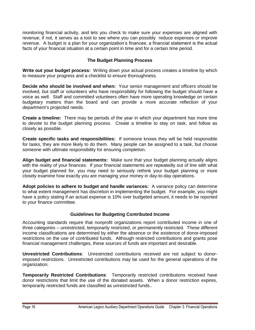monitoring financial activity, and lets you check to make sure your expenses are aligned with revenue; if not, it serves as a tool to see where you can possibly reduce expenses or improve revenue. A budget is a plan for your organization's finances; a financial statement is the actual facts of your financial situation at a certain point in time and for a certain time period.

#### **The Budget Planning Process**

**Write out your budget process:** Writing down your actual process creates a timeline by which to measure your progress and a checklist to ensure thoroughness.

**Decide who should be involved and when:** Your senior management and officers should be involved, but staff or volunteers who have responsibility for following the budget should have a voice as well. Staff and committed volunteers often have more operating knowledge on certain budgetary matters than the board and can provide a more accurate reflection of your department's projected needs.

**Create a timeline:** There may be periods of the year in which your department has more time to devote to the budget planning process. Create a timeline to stay on task, and follow as closely as possible.

**Create specific tasks and responsibilities:** If someone knows they will be held responsible for tasks, they are more likely to do them. Many people can be assigned to a task, but choose someone with ultimate responsibility for ensuring completion.

**Align budget and financial statements:** Make sure that your budget planning actually aligns with the reality of your finances. If your financial statements are repeatedly out of line with what your budget planned for, you may need to seriously rethink your budget planning or more closely examine how exactly you are managing your money in day-to-day operations.

**Adopt policies to adhere to budget and handle variances:** A variance policy can determine to what extent management has discretion in implementing the budget. For example, you might have a policy stating if an actual expense is 10% over budgeted amount, it needs to be reported to your finance committee.

#### **Guidelines for Budgeting Contributed Income**

Accounting standards require that nonprofit organizations report contributed income in one of three categories – unrestricted, temporarily restricted, or permanently restricted. These different income classifications are determined by either the absence or the existence of donor-imposed restrictions on the use of contributed funds. Although restricted contributions and grants pose financial management challenges, these sources of funds are important and desirable.

**Unrestricted Contributions**: Unrestricted contributions received are not subject to donorimposed restrictions. Unrestricted contributions may be used for the general operations of the organization.

**Temporarily Restricted Contributions**: Temporarily restricted contributions received have donor restrictions that limit the use of the donated assets. When a donor restriction expires, temporarily restricted funds are classified as unrestricted funds..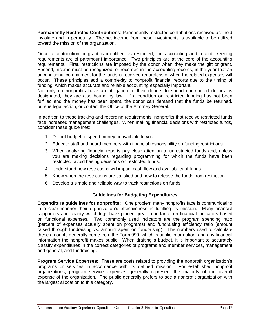**Permanently Restricted Contributions**: Permanently restricted contributions received are held inviolate and in perpetuity. The net income from these investments is available to be utilized toward the mission of the organization.

Once a contribution or grant is identified as restricted, the accounting and record- keeping requirements are of paramount importance. Two principles are at the core of the accounting requirements. First, restrictions are imposed by the donor when they make the gift or grant. Second, income must be recognized, or recorded in the accounting records, in the year that an unconditional commitment for the funds is received regardless of when the related expenses will occur. These principles add a complexity to nonprofit financial reports due to the timing of funding, which makes accurate and reliable accounting especially important.

Not only do nonprofits have an obligation to their donors to spend contributed dollars as designated, they are also bound by law. If a condition on restricted funding has not been fulfilled and the money has been spent, the donor can demand that the funds be returned, pursue legal action, or contact the Office of the Attorney General.

In addition to these tracking and recording requirements, nonprofits that receive restricted funds face increased management challenges. When making financial decisions with restricted funds, consider these guidelines:

- 1. Do not budget to spend money unavailable to you.
- 2. Educate staff and board members with financial responsibility on funding restrictions.
- 3. When analyzing financial reports pay close attention to unrestricted funds and, unless you are making decisions regarding programming for which the funds have been restricted, avoid basing decisions on restricted funds.
- 4. Understand how restrictions will impact cash flow and availability of funds.
- 5. Know when the restrictions are satisfied and how to release the funds from restriction.
- 6. Develop a simple and reliable way to track restrictions on funds.

#### **Guidelines for Budgeting Expenditures**

**Expenditure guidelines for nonprofits:** One problem many nonprofits face is communicating in a clear manner their organization's effectiveness in fulfilling its mission. Many financial supporters and charity watchdogs have placed great importance on financial indicators based on functional expenses. Two commonly used indicators are the program spending ratio (percent of expenses actually spent on programs) and fundraising efficiency ratio (amount raised through fundraising vs. amount spent on fundraising). The numbers used to calculate these amounts generally come from the Form 990, which is public information, and any financial information the nonprofit makes public. When drafting a budget, it is important to accurately classify expenditures in the correct categories of programs and member services, management and general, and fundraising.

**Program Service Expenses:** These are costs related to providing the nonprofit organization's programs or services in accordance with its defined mission. For established nonprofit organizations, program service expenses generally represent the majority of the overall expense of the organization. The public generally prefers to see a nonprofit organization with the largest allocation to this category.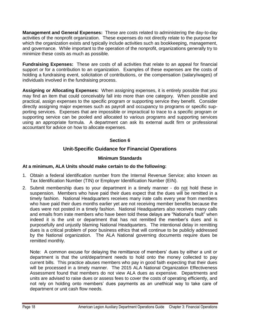**Management and General Expenses:** These are costs related to administering the day-to-day activities of the nonprofit organization. These expenses do not directly relate to the purpose for which the organization exists and typically include activities such as bookkeeping, management, and governance. While important to the operation of the nonprofit, organizations generally try to minimize these costs as much as possible.

**Fundraising Expenses:** These are costs of all activities that relate to an appeal for financial support or for a contribution to an organization. Examples of these expenses are the costs of holding a fundraising event, solicitation of contributions, or the compensation (salary/wages) of individuals involved in the fundraising process.

**Assigning or Allocating Expenses:** When assigning expenses, it is entirely possible that you may find an item that could conceivably fall into more than one category. When possible and practical, assign expenses to the specific program or supporting service they benefit. Consider directly assigning major expenses such as payroll and occupancy to programs or specific supporting services. Expenses that are impossible or impractical to trace to a specific program or supporting service can be pooled and allocated to various programs and supporting services using an appropriate formula. A department can ask its external audit firm or professional accountant for advice on how to allocate expenses.

#### **Section 6**

#### **Unit-Specific Guidance for Financial Operations**

#### **Minimum Standards**

#### **At a minimum, ALA Units should make certain to do the following:**

- 1. Obtain a federal identification number from the Internal Revenue Service; also known as Tax Identification Number (TIN) or Employer Identification Number (EIN).
- 2. Submit membership dues to your department in a timely manner do not hold these in suspension. Members who have paid their dues expect that the dues will be remitted in a timely fashion. National Headquarters receives many irate calls every year from members who have paid their dues months earlier yet are not receiving member benefits because the dues were not posted in a timely fashion. National Headquarters also receives many calls and emails from irate members who have been told these delays are "National's fault" when indeed it is the unit or department that has not remitted the member's dues and is purposefully and unjustly blaming National Headquarters. The intentional delay in remitting dues is a critical problem of poor business ethics that will continue to be publicly addressed by the National organization. The ALA National governing documents require dues be remitted monthly.

Note: A common excuse for delaying the remittance of members' dues by either a unit or department is that the unit/department needs to hold onto the money collected to pay current bills. This practice abuses members who pay in good faith expecting that their dues will be processed in a timely manner. The 2015 ALA National Organization Effectiveness Assessment found that members do not view ALA dues as expensive. Departments and units are advised to raise dues or assess fees to cover the costs of operating efficiently, and not rely on holding onto members' dues payments as an unethical way to take care of department or unit cash flow needs.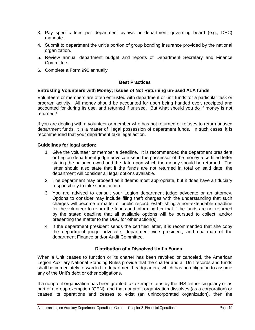- 3. Pay specific fees per department bylaws or department governing board (e.g., DEC) mandate.
- 4. Submit to department the unit's portion of group bonding insurance provided by the national organization.
- 5. Review annual department budget and reports of Department Secretary and Finance Committee.
- 6. Complete a Form 990 annually.

#### **Best Practices**

#### **Entrusting Volunteers with Money; Issues of Not Returning un-used ALA funds**

Volunteers or members are often entrusted with department or unit funds for a particular task or program activity. All money should be accounted for upon being handed over, receipted and accounted for during its use, and returned if unused. But what should you do if money is not returned?

If you are dealing with a volunteer or member who has not returned or refuses to return unused department funds, it is a matter of illegal possession of department funds. In such cases, it is recommended that your department take legal action.

#### **Guidelines for legal action:**

- 1. Give the volunteer or member a deadline. It is recommended the department president or Legion department judge advocate send the possessor of the money a certified letter stating the balance owed and the date upon which the money should be returned. The letter should also state that if the funds are not returned in total on said date, the department will consider all legal options available.
- 2. The department may proceed as it deems most appropriate, but it does have a fiduciary responsibility to take some action.
- 3. You are advised to consult your Legion department judge advocate or an attorney. Options to consider may include filing theft charges with the understanding that such charges will become a matter of public record; establishing a non-extendable deadline for the volunteer to return the funds and informing her that if the funds are not returned by the stated deadline that all available options will be pursued to collect; and/or presenting the matter to the DEC for other action(s).
- 4. If the department president sends the certified letter, it is recommended that she copy the department judge advocate, department vice president, and chairman of the department Finance and/or Audit Committee.

#### **Distribution of a Dissolved Unit's Funds**

When a Unit ceases to function or its charter has been revoked or canceled, the American Legion Auxiliary National Standing Rules provide that the charter and all Unit records and funds shall be immediately forwarded to department headquarters, which has no obligation to assume any of the Unit's debt or other obligations.

If a nonprofit organization has been granted tax exempt status by the IRS, either singularly or as part of a group exemption (GEN), and that nonprofit organization dissolves (as a corporation) or ceases its operations and ceases to exist (an unincorporated organization), then the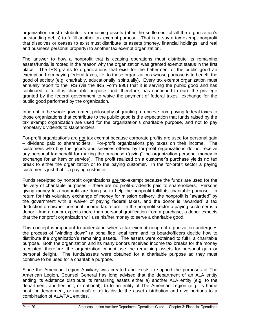organization must distribute its remaining assets (after the settlement of all the organization's outstanding debts) to fulfill another tax exempt purpose. That is to say a tax exempt nonprofit that dissolves or ceases to exist must distribute its assets (money, financial holdings, and real and business personal property) to another tax exempt organization.

The answer to how a nonprofit that is ceasing operations must distribute its remaining assets/funds/ is rooted in the reason why the organization was granted exempt status in the first place. The IRS grants to organizations that exist for the betterment of the public good an exemption from paying federal taxes, i.e. to those organizations whose purpose is to benefit the good of society (e.g. charitably, educationally, spiritually). Every tax exempt organization must annually report to the IRS (via the IRS Form 990) that it is serving the public good and has continued to fulfill is charitable purpose, and, therefore, has continued to earn the privilege granted by the federal government to waive the payment of federal taxes exchange for the public good performed by the organization.

Inherent in the whole government philosophy of granting a reprieve from paying federal taxes to those organizations that contribute to the public good is the expectation that funds raised by the tax exempt organization are used for the organization's charitable purpose, and not to pay monetary dividends to stakeholders.

For-profit organizations are not tax exempt because corporate profits are used for personal gain – dividend paid to shareholders. For-profit organizations pay taxes on their income. The customers who buy the goods and services offered by for-profit organizations do not receive any personal tax benefit for making the purchase ("giving" the organization personal money in exchange for an item or service). The profit realized on a customer's purchase yields no tax break to either the organization or to the paying customer. In the for-profit sector a paying customer is just that – a paying customer.

Funds receipted by nonprofit organizations are tax-exempt because the funds are used for the delivery of charitable purposes – there are no profit-dividends paid to shareholders. Persons giving money to a nonprofit are doing so to help the nonprofit fulfill its charitable purpose. In return for this voluntary exchange of money for mission delivery, the nonprofit is "awarded" by the government with a waiver of paying federal taxes, and the donor is "awarded" a tax deduction on his/her personal income tax return. In the nonprofit sector a paying customer is a donor. And a donor expects more than personal gratification from a purchase; a donor expects that the nonprofit organization will use his/her money to serve a charitable good.

This concept is important to understand when a tax-exempt nonprofit organization undergoes the process of "winding down" (a bona fide legal term and its board/officers decide how to distribute the organization's remaining assets. The assets were obtained to fulfill a charitable purpose. Both the organization and its many donors received income tax breaks for the money receipted; therefore, the organization cannot use the remaining assets for personal gain or personal delight. The funds/assets were obtained for a charitable purpose ad they must continue to be used for a charitable purpose.

Since the American Legion Auxiliary was created and exists to support the purposes of The American Legion, Counsel General has long advised that the department of an ALA entity ending its existence distribute its remaining assets either a) another ALA entity (e.g. to the department, another unit, or national), b) to an entity of The American Legion (e.g. its home post, or department, or national) or c) to divide the asset distribution and give portions to a combination of ALA/TAL entities.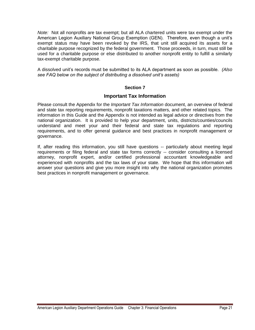*Note:* Not all nonprofits are tax exempt; but all ALA chartered units were tax exempt under the American Legion Auxiliary National Group Exemption (GEN). Therefore, even though a unit's exempt status may have been revoked by the IRS, that unit still acquired its assets for a charitable purpose recognized by the federal government. Those proceeds, in turn, must still be used for a charitable purpose or else distributed to another nonprofit entity to fulfill a similarly tax-exempt charitable purpose.

A dissolved unit's records must be submitted to its ALA department as soon as possible. *(Also see FAQ below on the subject of distributing a dissolved unit's assets)*

#### **Section 7**

#### **Important Tax Information**

Please consult the Appendix for the *Important Tax Information* document, an overview of federal and state tax reporting requirements, nonprofit taxations matters, and other related topics. The information in this Guide and the Appendix is not intended as legal advice or directives from the national organization. It is provided to help your department, units, districts/counties/councils understand and meet your and their federal and state tax regulations and reporting requirements, and to offer general guidance and best practices in nonprofit management or governance.

If, after reading this information, you still have questions -- particularly about meeting legal requirements or filing federal and state tax forms correctly -- consider consulting a licensed attorney, nonprofit expert, and/or certified professional accountant knowledgeable and experienced with nonprofits and the tax laws of your state. We hope that this information will answer your questions and give you more insight into why the national organization promotes best practices in nonprofit management or governance.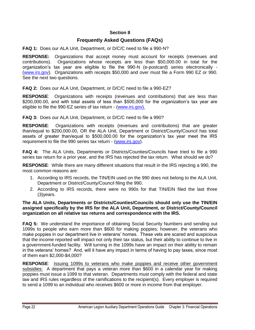#### **Section 8**

#### **Frequently Asked Questions (FAQs)**

**FAQ 1:** Does our ALA Unit, Department, or D/C/C need to file a 990-N?

**RESPONSE:** Organizations that accept money must account for receipts (revenues and contributions). Organizations whose receipts are less than \$50,000.00 in total for the organization's tax year are eligible to file the 990-N (e-postcard) series electronically - [\(www.irs.gov\)](http://www.irs.gov/). Organizations with receipts \$50,000 and over must file a Form 990 EZ or 990. See the next two questions.

**FAQ 2:** Does our ALA Unit, Department, or D/C/C need to file a 990-EZ?

**RESPONSE**: Organizations with receipts (revenues and contributions) that are less than \$200,000.00, and with total assets of less than \$500,000 for the organization's tax year are eligible to file the 990-EZ series of tax return - (www.irs.gov).

**FAQ 3:** Does our ALA Unit, Department, or D/C/C need to file a 990?

**RESPONSE**: Organizations with receipts (revenues and contributions) that are greater than/equal to \$200,000.00, OR the ALA Unit, Department or District/County/Council has total assets of greater than/equal to \$500,000.00 for the organization's tax year meet the IRS requirement to file the 990 series tax return - [\(www.irs.gov\)](http://www.irs.gov/).

**FAQ 4:** The ALA Units, Departments or Districts/Counties/Councils have tried to file a 990 series tax return for a prior year, and the IRS has rejected the tax return. What should we do?

**RESPONSE**: While there are many different situations that result in the IRS rejecting a 990, the most common reasons are:

- 1. According to IRS records, the TIN/EIN used on the 990 does not belong to the ALA Unit, Department or District/County/Council filing the 990.
- 2. According to IRS records, there were no 990s for that TIN/EIN filed the last three (3)years.

#### **The ALA Units, Departments or Districts/Counties/Councils should only use the TIN/EIN assigned specifically by the IRS for the ALA Unit, Department, or District/County/Council organization on all relative tax returns and correspondence with the IRS.**

**FAQ 5:** We understand the importance of obtaining Social Security Numbers and sending out 1099s to people who earn more than \$600 for making poppies; however, the veterans who make poppies in our department live in veterans' homes. These vets are scared and suspicious that the income reported will impact not only their tax status, but their ability to continue to live in a government-funded facility. Will turning in the 1099s have an impact on their ability to remain in the veterans' homes? And, will it have any impact in terms of having to pay taxes, since most of them earn \$2,000-\$4,000?

**RESPONSE**: Issuing 1099s to veterans who make poppies and receive other government subsidies: A department that pays a veteran more than \$600 in a calendar year for making poppies must issue a 1099 to that veteran. Departments must comply with the federal and state law and IRS rules regardless of the ramifications to the recipient(s). Every employer is required to send a 1099 to an individual who receives \$600 or more in income from that employer.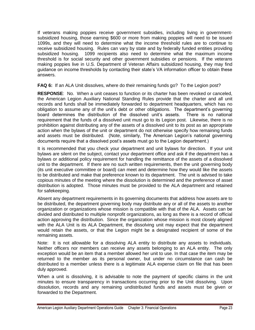If veterans making poppies receive government subsidies, including living in governmentsubsidized housing, those earning \$600 or more from making poppies will need to be issued 1099s, and they will need to determine what the income threshold rules are to continue to receive subsidized housing. Rules can vary by state and by federally funded entities providing subsidized housing. 1099 recipients also need to determine what the maximum income threshold is for social security and other government subsidies or pensions. If the veterans making poppies live in U.S. Department of Veteran Affairs subsidized housing, they may find guidance on income thresholds by contacting their state's VA information officer to obtain these answers.

**FAQ 6:** If an ALA Unit dissolves, where do their remaining funds go? To the Legion post?

**RESPONSE**: No. When a unit ceases to function or its charter has been revoked or canceled, the American Legion Auxiliary National Standing Rules provide that the charter and all unit records and funds shall be immediately forwarded to department headquarters, which has no obligation to assume any of the unit's debt or other obligations. The department's governing board determines the distribution of the dissolved unit's assets. There is no national requirement that the funds of a dissolved unit must go to its Legion post. Likewise, there is no prohibition against distributing any of the assets of a dissolved unit to its post as an appropriate action when the bylaws of the unit or department do not otherwise specify how remaining funds and assets must be distributed. (Note, similarly, The American Legion's national governing documents require that a dissolved post's assets must go to the Legion department.)

It is recommended that you check your department and unit bylaws for direction. If your unit bylaws are silent on the subject, contact your department office and ask if the department has a bylaws or additional policy requirement for handling the remittance of the assets of a dissolved unit to the department. If there are no such written requirements, then the unit governing body (its unit executive committee or board) can meet and determine how they would like the assets to be distributed and make that preference known to its department. The unit is advised to take copious minutes of the meeting where the dissolution is determined and the preference of asset distribution is adopted. Those minutes must be provided to the ALA department and retained for safekeeping.

Absent any department requirements in its governing documents that address how assets are to be distributed, the department governing body may distribute any or all of the assets to another organization or organizations whose mission is compatible with that of the ALA. Assets can be divided and distributed to multiple nonprofit organizations, as long as there is a record of official action approving the distribution. Since the organization whose mission is most closely aligned with the ALA Unit is its ALA Department, the dissolving unit may expect that the department would retain the assets, or that the Legion might be a designated recipient of some of the remaining assets.

Note: It is not allowable for a dissolving ALA entity to distribute any assets to individuals. Neither officers nor members can receive any assets belonging to an ALA entity. The only exception would be an item that a member allowed her unit to use. In that case the item may be returned to the member as its personal owner, but under no circumstance can cash be distributed to a member unless there is a legitimate ALA expense claim on file that has been duly approved.

When a unit is dissolving, it is advisable to note the payment of specific claims in the unit minutes to ensure transparency in transactions occurring prior to the Unit dissolving. Upon dissolution, records and any remaining undistributed funds and assets must be given or forwarded to the Department.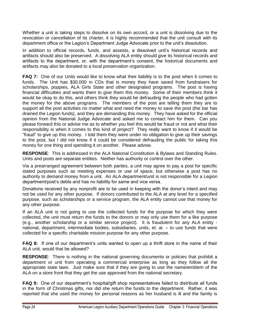Whether a unit is taking steps to dissolve on its own accord, or a unit is dissolving due to the revocation or cancellation of its charter, it is highly recommended that the unit consult with its department office or the Legion's Department Judge Advocate prior to the unit's dissolution.

In addition to official records, funds, and assests, a dissolved unit's historical records and artifacts should also be preserved. A dissolving ALA entity should give its historical records and artifacts to the department, or, with the department's consent, the historical documents and artifacts may also be donated to a local preservation organization.

**FAQ 7:** One of our Units would like to know what their liability is to the post when it comes to funds. The Unit has \$30,000 in CDs that is money they have saved from fundraisers for scholarships, poppies, ALA Girls State and other designated programs. The post is having financial difficulties and wants them to give them this money. Some of their members think it would be okay to do this, and others think they would be defrauding the people who had gotten the money for the above programs. The members of the post are telling them they are to support all the post activities no matter what and need the money to save the post (the bar has drained the Legion funds), and they are demanding this money. They have asked for the official opinion from the National Judge Advocate and asked me to contact him for them. Can you please forward this or advise me as to whether you feel this would be fraud or not and what their responsibility is when it comes to this kind of project? They really want to know if it would be "fraud" to give up this money. I told them they were under no obligation to give up their savings to the post, but I did not know if it could be considered defrauding the public for taking this money for one thing and spending it on another. Please advise.

**RESPONSE**: This is addressed in the ALA National Constitution & Bylaws and Standing Rules. Units and posts are separate entities. Neither has authority or control over the other.

Via a prearranged agreement between both parties, a unit may agree to pay a post for specific stated purposes such as meeting expenses or use of space, but otherwise a post has no authority to demand money from a unit. An ALA department/unit is not responsible for a Legion department/post's debts and has no liability for same and vice versa.

Donations received by any nonprofit are to be used in keeping with the donor's intent and may not be used for any other purpose. If donors contributed to the ALA at any level for a specified purpose, such as scholarships or a service program, the ALA entity cannot use that money for any other purpose.

If an ALA unit is not going to use the collected funds for the purpose for which they were collected, the unit must return the funds to the donors or may only use them for a like purpose (e.g., another scholarship or a similar service project). It is fraudulent for any ALA entity national, department, intermediate bodies, subsidiaries, units, et. al. – to use funds that were collected for a specific charitable mission purpose for any other purpose.

**FAQ 8:** If one of our department's units wanted to open up a thrift store in the name of their ALA unit, would that be allowed?

**RESPONSE**: There is nothing in the national governing documents or policies that prohibit a department or unit from operating a commercial enterprise as long as they follow all the appropriate state laws. Just make sure that if they are going to use the name/emblem of the ALA on a store front that they get the use approved from the national secretary.

**FAQ 9:** One of our department's hospital/gift shop representatives failed to distribute all funds in the form of Christmas gifts, nor did she return the funds to the department. Rather, it was reported that she used the money for personal reasons as her husband is ill and the family is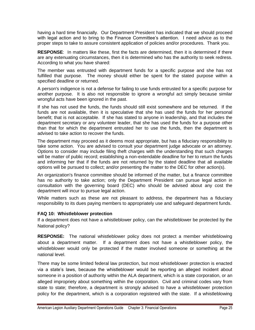having a hard time financially. Our Department President has indicated that we should proceed with legal action and to bring to the Finance Committee's attention. I need advice as to the proper steps to take to assure consistent application of policies and/or procedures. Thank you.

**RESPONSE**: In matters like these, first the facts are determined, then it is determined if there are any extenuating circumstances, then it is determined who has the authority to seek redress. According to what you have shared:

The member was entrusted with department funds for a specific purpose and she has not fulfilled that purpose. The money should either be spent for the stated purpose within a specified deadline or returned.

A person's indigence is not a defense for failing to use funds entrusted for a specific purpose for another purpose. It is also not responsible to ignore a wrongful act simply because similar wrongful acts have been ignored in the past.

If she has not used the funds, the funds should still exist somewhere and be returned. If the funds are not available, then it is speculative that she has used the funds for her personal benefit; that is not acceptable. If she has stated to anyone in leadership, and that includes the department secretary or any volunteer leader, that she has used the funds for a purpose other than that for which the department entrusted her to use the funds, then the department is advised to take action to recover the funds.

The department may proceed as it deems most appropriate, but has a fiduciary responsibility to take some action. You are advised to consult your department judge advocate or an attorney. Options to consider may include filing theft charges with the understanding that such charges will be matter of public record; establishing a non-extendable deadline for her to return the funds and informing her that if the funds are not returned by the stated deadline that all available options will be pursued to collect; and/or presenting the matter to the DEC for other action(s).

An organization's finance committee should be informed of the matter, but a finance committee has no authority to take action; only the Department President can pursue legal action in consultation with the governing board (DEC) who should be advised about any cost the department will incur to pursue legal action.

While matters such as these are not pleasant to address, the department has a fiduciary responsibility to its dues paying members to appropriately use and safeguard department funds.

#### **FAQ 10: Whistleblower protection**

If a department does not have a whistleblower policy, can the whistleblower be protected by the National policy?

**RESPONSE:** The national whistleblower policy does not protect a member whistleblowing about a department matter. If a department does not have a whistleblower policy, the whistleblower would only be protected if the matter involved someone or something at the national level.

There may be some limited federal law protection, but most whistleblower protection is enacted via a state's laws, because the whistleblower would be reporting an alleged incident about someone in a position of authority within the ALA department, which is a state corporation, or an alleged impropriety about something within the corporation. Civil and criminal codes vary from state to state; therefore, a department is strongly advised to have a whistleblower protection policy for the department, which is a corporation registered with the state. If a whistleblowing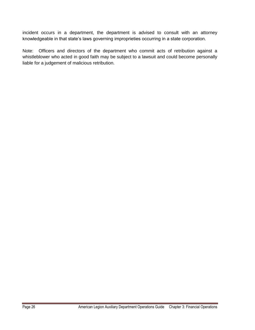incident occurs in a department, the department is advised to consult with an attorney knowledgeable in that state's laws governing improprieties occurring in a state corporation.

Note: Officers and directors of the department who commit acts of retribution against a whistleblower who acted in good faith may be subject to a lawsuit and could become personally liable for a judgement of malicious retribution.